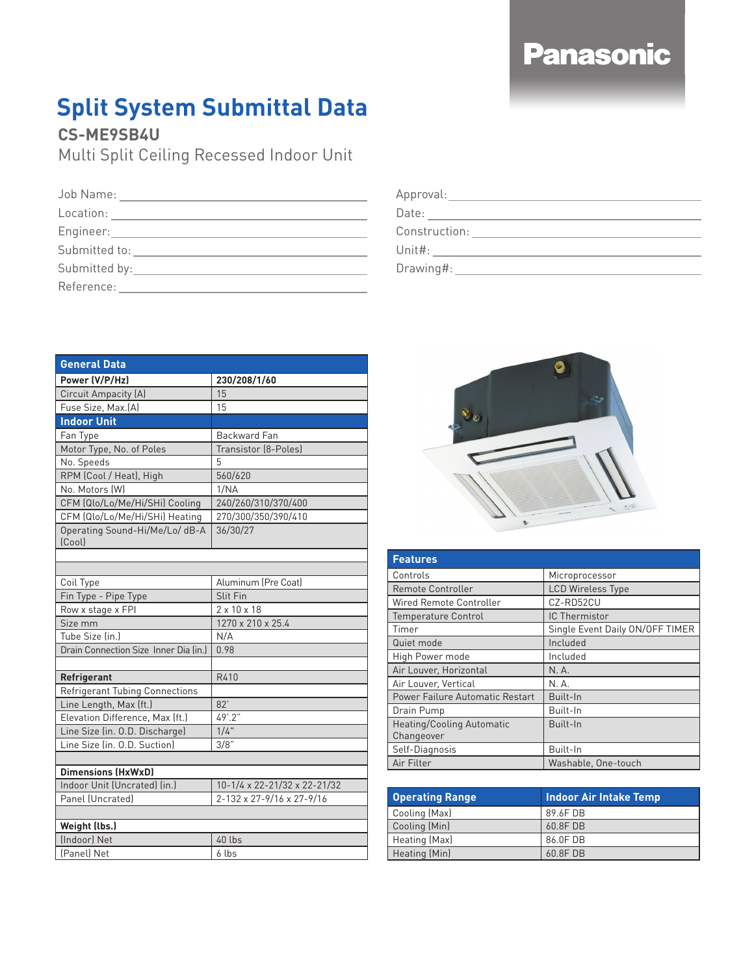# **Panasonic**

## **Split System Submittal Data**

#### **CS-ME9SB4U**

Multi Split Ceiling Recessed Indoor Unit

| Submitted to: |  |
|---------------|--|
| Submitted by: |  |
| Reference: _  |  |

| <b>General Data</b>                      |                              |  |
|------------------------------------------|------------------------------|--|
| Power (V/P/Hz)                           | 230/208/1/60                 |  |
| Circuit Ampacity (A)                     | 15                           |  |
| Fuse Size, Max.(A)                       | 15                           |  |
| <b>Indoor Unit</b>                       |                              |  |
| Fan Type                                 | Backward Fan                 |  |
| Motor Type, No. of Poles                 | <b>Transistor (8-Poles)</b>  |  |
| No. Speeds                               | 5                            |  |
| RPM (Cool / Heat), High                  | 560/620                      |  |
| No. Motors (W)                           | 1/NA                         |  |
| CFM (Qlo/Lo/Me/Hi/SHi) Cooling           | 240/260/310/370/400          |  |
| CFM (Qlo/Lo/Me/Hi/SHi) Heating           | 270/300/350/390/410          |  |
| Operating Sound-Hi/Me/Lo/ dB-A<br>[Cool] | 36/30/27                     |  |
|                                          |                              |  |
|                                          |                              |  |
| Coil Type                                | Aluminum (Pre Coat)          |  |
| Fin Type - Pipe Type                     | Slit Fin                     |  |
| Row x stage x FPI                        | $2 \times 10 \times 18$      |  |
| Size mm                                  | 1270 x 210 x 25.4            |  |
| Tube Size (in.)                          | N/A                          |  |
| Drain Connection Size Inner Dia (in.)    | 0.98                         |  |
|                                          |                              |  |
| Refrigerant                              | R410                         |  |
| <b>Refrigerant Tubing Connections</b>    |                              |  |
| Line Length, Max (ft.)                   | 82'                          |  |
| Elevation Difference, Max (ft.)          | 49'.2"                       |  |
| Line Size (in. O.D. Discharge)           | 1/4"                         |  |
| Line Size (in. O.D. Suction)             | 3/8"                         |  |
|                                          |                              |  |
| <b>Dimensions (HxWxD)</b>                |                              |  |
| Indoor Unit (Uncrated) (in.)             | 10-1/4 x 22-21/32 x 22-21/32 |  |
| Panel (Uncrated)                         | 2-132 x 27-9/16 x 27-9/16    |  |
|                                          |                              |  |
| Weight (lbs.)                            |                              |  |
| [Indoor] Net                             | 40 lbs                       |  |
| [Panel] Net                              | 6 lbs                        |  |

| Approval:     |
|---------------|
| Date:         |
| Construction: |
| Unit#:        |
| Drawing#:     |



| <b>Features</b>                  |                                 |
|----------------------------------|---------------------------------|
| Controls                         | Microprocessor                  |
| <b>Remote Controller</b>         | <b>LCD Wireless Type</b>        |
| Wired Remote Controller          | CZ-RD52CU                       |
| <b>Temperature Control</b>       | IC Thermistor                   |
| Timer                            | Single Event Daily ON/OFF TIMER |
| Quiet mode                       | Included                        |
| High Power mode                  | Included                        |
| Air Louver, Horizontal           | N. A.                           |
| Air Louver, Vertical             | N. A.                           |
| Power Failure Automatic Restart  | Built-In                        |
| Drain Pump                       | Built-In                        |
| <b>Heating/Cooling Automatic</b> | Built-In                        |
| Changeover                       |                                 |
| Self-Diagnosis                   | Built-In                        |
| Air Filter                       | Washable, One-touch             |

| <b>Operating Range</b> | <b>Indoor Air Intake Temp</b> |
|------------------------|-------------------------------|
| Cooling (Max)          | 89.6F DB                      |
| Cooling (Min)          | 60.8F DB                      |
| Heating (Max)          | 86.0F DB                      |
| Heating (Min)          | 60.8F DB                      |